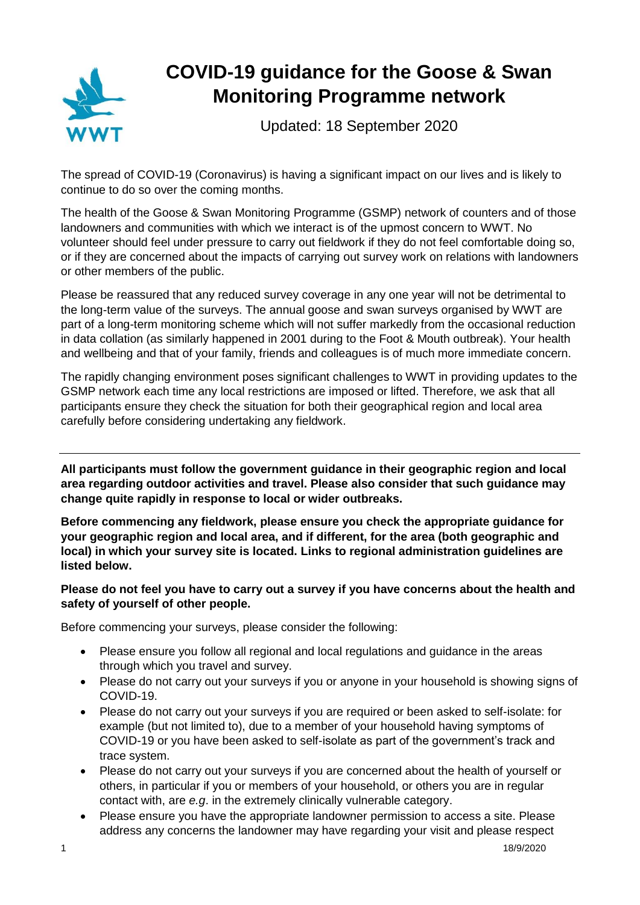

## **COVID-19 guidance for the Goose & Swan Monitoring Programme network**

Updated: 18 September 2020

The spread of COVID-19 (Coronavirus) is having a significant impact on our lives and is likely to continue to do so over the coming months.

The health of the Goose & Swan Monitoring Programme (GSMP) network of counters and of those landowners and communities with which we interact is of the upmost concern to WWT. No volunteer should feel under pressure to carry out fieldwork if they do not feel comfortable doing so, or if they are concerned about the impacts of carrying out survey work on relations with landowners or other members of the public.

Please be reassured that any reduced survey coverage in any one year will not be detrimental to the long-term value of the surveys. The annual goose and swan surveys organised by WWT are part of a long-term monitoring scheme which will not suffer markedly from the occasional reduction in data collation (as similarly happened in 2001 during to the Foot & Mouth outbreak). Your health and wellbeing and that of your family, friends and colleagues is of much more immediate concern.

The rapidly changing environment poses significant challenges to WWT in providing updates to the GSMP network each time any local restrictions are imposed or lifted. Therefore, we ask that all participants ensure they check the situation for both their geographical region and local area carefully before considering undertaking any fieldwork.

**All participants must follow the government guidance in their geographic region and local area regarding outdoor activities and travel. Please also consider that such guidance may change quite rapidly in response to local or wider outbreaks.**

**Before commencing any fieldwork, please ensure you check the appropriate guidance for your geographic region and local area, and if different, for the area (both geographic and local) in which your survey site is located. Links to regional administration guidelines are listed below.**

## **Please do not feel you have to carry out a survey if you have concerns about the health and safety of yourself of other people.**

Before commencing your surveys, please consider the following:

- Please ensure you follow all regional and local regulations and guidance in the areas through which you travel and survey.
- Please do not carry out your surveys if you or anyone in your household is showing signs of COVID-19.
- Please do not carry out your surveys if you are required or been asked to self-isolate: for example (but not limited to), due to a member of your household having symptoms of COVID-19 or you have been asked to self-isolate as part of the government's track and trace system.
- Please do not carry out your surveys if you are concerned about the health of yourself or others, in particular if you or members of your household, or others you are in regular contact with, are *e.g*. in the extremely clinically vulnerable category.
- Please ensure you have the appropriate landowner permission to access a site. Please address any concerns the landowner may have regarding your visit and please respect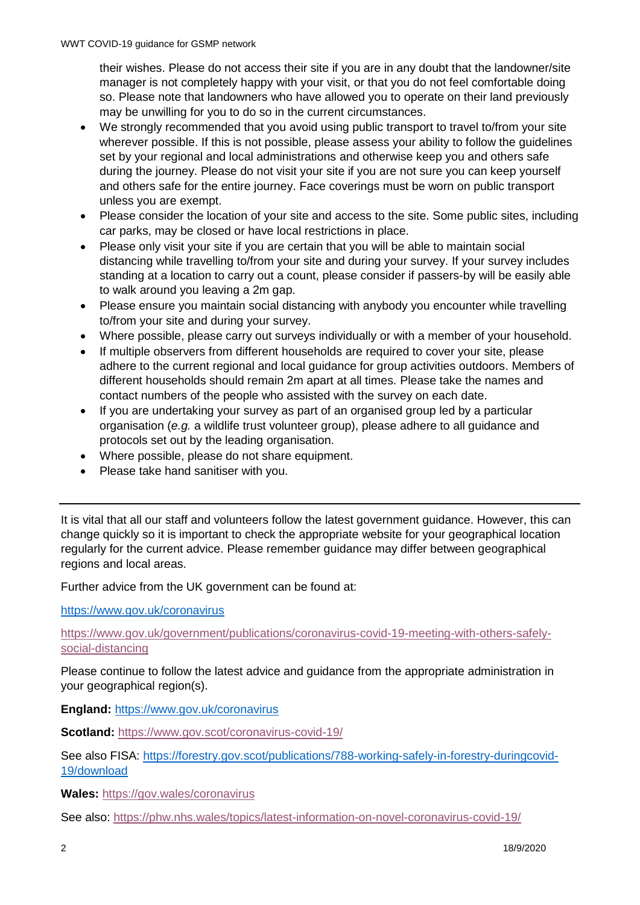their wishes. Please do not access their site if you are in any doubt that the landowner/site manager is not completely happy with your visit, or that you do not feel comfortable doing so. Please note that landowners who have allowed you to operate on their land previously may be unwilling for you to do so in the current circumstances.

- We strongly recommended that you avoid using public transport to travel to/from your site wherever possible. If this is not possible, please assess your ability to follow the guidelines set by your regional and local administrations and otherwise keep you and others safe during the journey. Please do not visit your site if you are not sure you can keep yourself and others safe for the entire journey. Face coverings must be worn on public transport unless you are exempt.
- Please consider the location of your site and access to the site. Some public sites, including car parks, may be closed or have local restrictions in place.
- Please only visit your site if you are certain that you will be able to maintain social distancing while travelling to/from your site and during your survey. If your survey includes standing at a location to carry out a count, please consider if passers-by will be easily able to walk around you leaving a 2m gap.
- Please ensure you maintain social distancing with anybody you encounter while travelling to/from your site and during your survey.
- Where possible, please carry out surveys individually or with a member of your household.
- If multiple observers from different households are required to cover your site, please adhere to the current regional and local guidance for group activities outdoors. Members of different households should remain 2m apart at all times. Please take the names and contact numbers of the people who assisted with the survey on each date.
- If you are undertaking your survey as part of an organised group led by a particular organisation (*e.g.* a wildlife trust volunteer group), please adhere to all guidance and protocols set out by the leading organisation.
- Where possible, please do not share equipment.
- Please take hand sanitiser with you.

It is vital that all our staff and volunteers follow the latest government guidance. However, this can change quickly so it is important to check the appropriate website for your geographical location regularly for the current advice. Please remember guidance may differ between geographical regions and local areas.

Further advice from the UK government can be found at:

<https://www.gov.uk/coronavirus>

[https://www.gov.uk/government/publications/coronavirus-covid-19-meeting-with-others-safely](https://www.gov.uk/government/publications/coronavirus-covid-19-meeting-with-others-safely-social-distancing)[social-distancing](https://www.gov.uk/government/publications/coronavirus-covid-19-meeting-with-others-safely-social-distancing)

Please continue to follow the latest advice and guidance from the appropriate administration in your geographical region(s).

**England:** <https://www.gov.uk/coronavirus>

**Scotland:** <https://www.gov.scot/coronavirus-covid-19/>

See also FISA: [https://forestry.gov.scot/publications/788-working-safely-in-forestry-duringcovid-](https://forestry.gov.scot/publications/788-working-safely-in-forestry-duringcovid-19/download)[19/download](https://forestry.gov.scot/publications/788-working-safely-in-forestry-duringcovid-19/download)

**Wales:** <https://gov.wales/coronavirus>

See also:<https://phw.nhs.wales/topics/latest-information-on-novel-coronavirus-covid-19/>